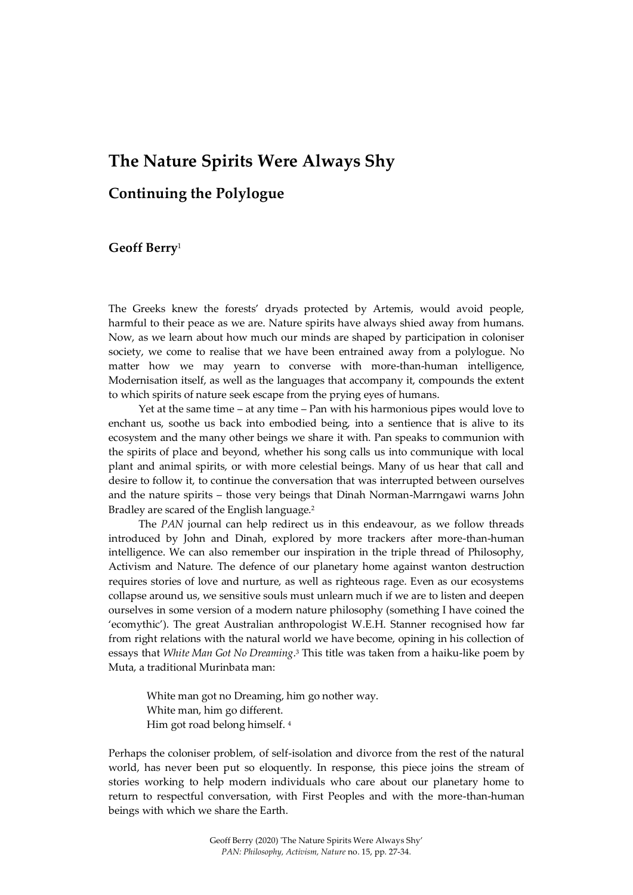# **The Nature Spirits Were Always Shy**

# **Continuing the Polylogue**

#### **Geoff Berry**<sup>1</sup>

The Greeks knew the forests' dryads protected by Artemis, would avoid people, harmful to their peace as we are. Nature spirits have always shied away from humans. Now, as we learn about how much our minds are shaped by participation in coloniser society, we come to realise that we have been entrained away from a polylogue. No matter how we may yearn to converse with more-than-human intelligence, Modernisation itself, as well as the languages that accompany it, compounds the extent to which spirits of nature seek escape from the prying eyes of humans.

Yet at the same time – at any time – Pan with his harmonious pipes would love to enchant us, soothe us back into embodied being, into a sentience that is alive to its ecosystem and the many other beings we share it with. Pan speaks to communion with the spirits of place and beyond, whether his song calls us into communique with local plant and animal spirits, or with more celestial beings. Many of us hear that call and desire to follow it, to continue the conversation that was interrupted between ourselves and the nature spirits – those very beings that Dinah Norman-Marrngawi warns John Bradley are scared of the English language.<sup>2</sup>

The *PAN* journal can help redirect us in this endeavour, as we follow threads introduced by John and Dinah, explored by more trackers after more-than-human intelligence. We can also remember our inspiration in the triple thread of Philosophy, Activism and Nature. The defence of our planetary home against wanton destruction requires stories of love and nurture, as well as righteous rage. Even as our ecosystems collapse around us, we sensitive souls must unlearn much if we are to listen and deepen ourselves in some version of a modern nature philosophy (something I have coined the 'ecomythic'). The great Australian anthropologist W.E.H. Stanner recognised how far from right relations with the natural world we have become, opining in his collection of essays that *White Man Got No Dreaming*. <sup>3</sup> This title was taken from a haiku-like poem by Muta, a traditional Murinbata man:

White man got no Dreaming, him go nother way. White man, him go different. Him got road belong himself. <sup>4</sup>

Perhaps the coloniser problem, of self-isolation and divorce from the rest of the natural world, has never been put so eloquently. In response, this piece joins the stream of stories working to help modern individuals who care about our planetary home to return to respectful conversation, with First Peoples and with the more-than-human beings with which we share the Earth.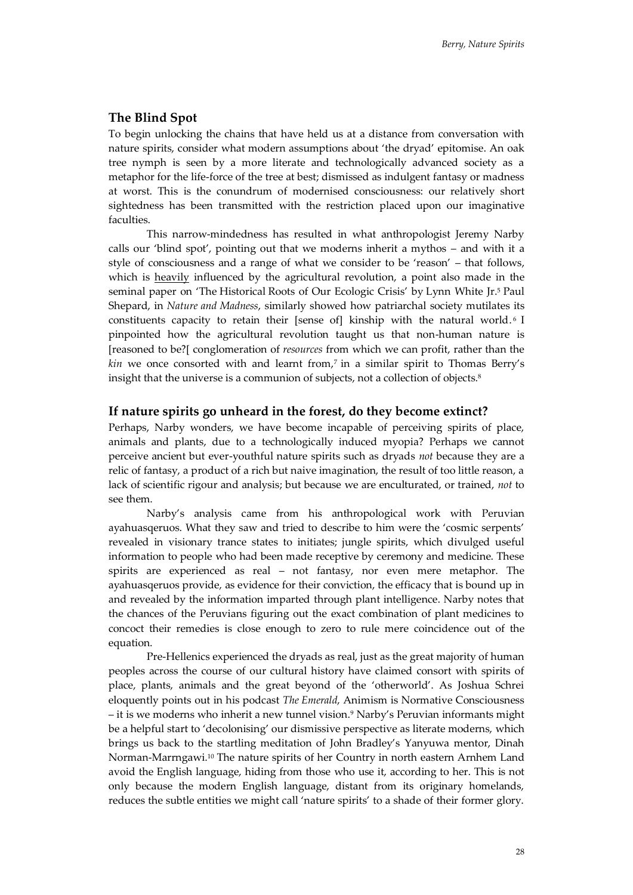#### **The Blind Spot**

To begin unlocking the chains that have held us at a distance from conversation with nature spirits, consider what modern assumptions about 'the dryad' epitomise. An oak tree nymph is seen by a more literate and technologically advanced society as a metaphor for the life-force of the tree at best; dismissed as indulgent fantasy or madness at worst. This is the conundrum of modernised consciousness: our relatively short sightedness has been transmitted with the restriction placed upon our imaginative faculties.

This narrow-mindedness has resulted in what anthropologist Jeremy Narby calls our 'blind spot', pointing out that we moderns inherit a mythos – and with it a style of consciousness and a range of what we consider to be 'reason' – that follows, which is heavily influenced by the agricultural revolution, a point also made in the seminal paper on 'The Historical Roots of Our Ecologic Crisis' by Lynn White Jr. <sup>5</sup> Paul Shepard, in *Nature and Madness*, similarly showed how patriarchal society mutilates its constituents capacity to retain their [sense of] kinship with the natural world. <sup>6</sup> I pinpointed how the agricultural revolution taught us that non-human nature is [reasoned to be?[ conglomeration of *resources* from which we can profit, rather than the *kin* we once consorted with and learnt from, 7 in a similar spirit to Thomas Berry's insight that the universe is a communion of subjects, not a collection of objects.<sup>8</sup>

#### **If nature spirits go unheard in the forest, do they become extinct?**

Perhaps, Narby wonders, we have become incapable of perceiving spirits of place, animals and plants, due to a technologically induced myopia? Perhaps we cannot perceive ancient but ever-youthful nature spirits such as dryads *not* because they are a relic of fantasy, a product of a rich but naive imagination, the result of too little reason, a lack of scientific rigour and analysis; but because we are enculturated, or trained, *not* to see them.

Narby's analysis came from his anthropological work with Peruvian ayahuasqeruos. What they saw and tried to describe to him were the 'cosmic serpents' revealed in visionary trance states to initiates; jungle spirits, which divulged useful information to people who had been made receptive by ceremony and medicine. These spirits are experienced as real – not fantasy, nor even mere metaphor. The ayahuasqeruos provide, as evidence for their conviction, the efficacy that is bound up in and revealed by the information imparted through plant intelligence. Narby notes that the chances of the Peruvians figuring out the exact combination of plant medicines to concoct their remedies is close enough to zero to rule mere coincidence out of the equation.

Pre-Hellenics experienced the dryads as real, just as the great majority of human peoples across the course of our cultural history have claimed consort with spirits of place, plants, animals and the great beyond of the 'otherworld'. As Joshua Schrei eloquently points out in his podcast *The Emerald*, Animism is Normative Consciousness – it is we moderns who inherit a new tunnel vision.<sup>9</sup> Narby's Peruvian informants might be a helpful start to 'decolonising' our dismissive perspective as literate moderns, which brings us back to the startling meditation of John Bradley's Yanyuwa mentor, Dinah Norman-Marrngawi.<sup>10</sup> The nature spirits of her Country in north eastern Arnhem Land avoid the English language, hiding from those who use it, according to her. This is not only because the modern English language, distant from its originary homelands, reduces the subtle entities we might call 'nature spirits' to a shade of their former glory.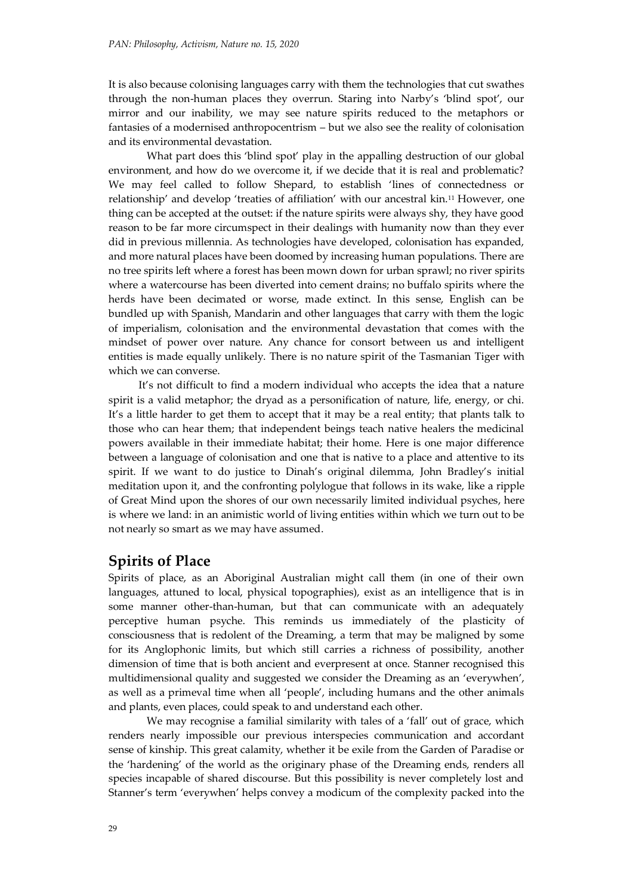It is also because colonising languages carry with them the technologies that cut swathes through the non-human places they overrun. Staring into Narby's 'blind spot', our mirror and our inability, we may see nature spirits reduced to the metaphors or fantasies of a modernised anthropocentrism – but we also see the reality of colonisation and its environmental devastation.

What part does this 'blind spot' play in the appalling destruction of our global environment, and how do we overcome it, if we decide that it is real and problematic? We may feel called to follow Shepard, to establish 'lines of connectedness or relationship' and develop 'treaties of affiliation' with our ancestral kin.<sup>11</sup> However, one thing can be accepted at the outset: if the nature spirits were always shy, they have good reason to be far more circumspect in their dealings with humanity now than they ever did in previous millennia. As technologies have developed, colonisation has expanded, and more natural places have been doomed by increasing human populations. There are no tree spirits left where a forest has been mown down for urban sprawl; no river spirits where a watercourse has been diverted into cement drains; no buffalo spirits where the herds have been decimated or worse, made extinct. In this sense, English can be bundled up with Spanish, Mandarin and other languages that carry with them the logic of imperialism, colonisation and the environmental devastation that comes with the mindset of power over nature. Any chance for consort between us and intelligent entities is made equally unlikely. There is no nature spirit of the Tasmanian Tiger with which we can converse.

It's not difficult to find a modern individual who accepts the idea that a nature spirit is a valid metaphor; the dryad as a personification of nature, life, energy, or chi. It's a little harder to get them to accept that it may be a real entity; that plants talk to those who can hear them; that independent beings teach native healers the medicinal powers available in their immediate habitat; their home. Here is one major difference between a language of colonisation and one that is native to a place and attentive to its spirit. If we want to do justice to Dinah's original dilemma, John Bradley's initial meditation upon it, and the confronting polylogue that follows in its wake, like a ripple of Great Mind upon the shores of our own necessarily limited individual psyches, here is where we land: in an animistic world of living entities within which we turn out to be not nearly so smart as we may have assumed.

## **Spirits of Place**

Spirits of place, as an Aboriginal Australian might call them (in one of their own languages, attuned to local, physical topographies), exist as an intelligence that is in some manner other-than-human, but that can communicate with an adequately perceptive human psyche. This reminds us immediately of the plasticity of consciousness that is redolent of the Dreaming, a term that may be maligned by some for its Anglophonic limits, but which still carries a richness of possibility, another dimension of time that is both ancient and everpresent at once. Stanner recognised this multidimensional quality and suggested we consider the Dreaming as an 'everywhen', as well as a primeval time when all 'people', including humans and the other animals and plants, even places, could speak to and understand each other.

We may recognise a familial similarity with tales of a 'fall' out of grace, which renders nearly impossible our previous interspecies communication and accordant sense of kinship. This great calamity, whether it be exile from the Garden of Paradise or the 'hardening' of the world as the originary phase of the Dreaming ends, renders all species incapable of shared discourse. But this possibility is never completely lost and Stanner's term 'everywhen' helps convey a modicum of the complexity packed into the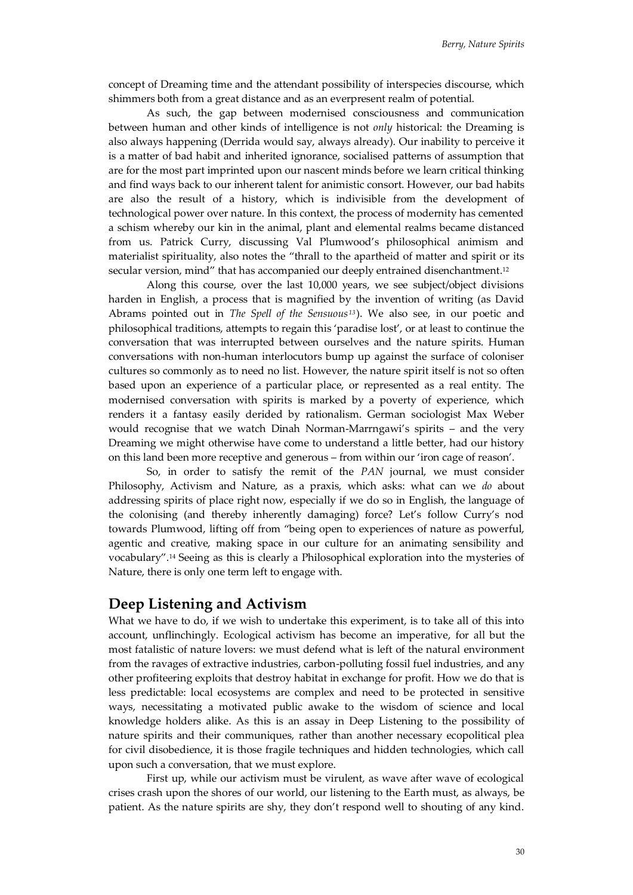concept of Dreaming time and the attendant possibility of interspecies discourse, which shimmers both from a great distance and as an everpresent realm of potential.

As such, the gap between modernised consciousness and communication between human and other kinds of intelligence is not *only* historical: the Dreaming is also always happening (Derrida would say, always already). Our inability to perceive it is a matter of bad habit and inherited ignorance, socialised patterns of assumption that are for the most part imprinted upon our nascent minds before we learn critical thinking and find ways back to our inherent talent for animistic consort. However, our bad habits are also the result of a history, which is indivisible from the development of technological power over nature. In this context, the process of modernity has cemented a schism whereby our kin in the animal, plant and elemental realms became distanced from us. Patrick Curry, discussing Val Plumwood's philosophical animism and materialist spirituality, also notes the "thrall to the apartheid of matter and spirit or its secular version, mind" that has accompanied our deeply entrained disenchantment. 12

Along this course, over the last 10,000 years, we see subject/object divisions harden in English, a process that is magnified by the invention of writing (as David Abrams pointed out in *The Spell of the Sensuous<sup>13</sup>* ). We also see, in our poetic and philosophical traditions, attempts to regain this 'paradise lost', or at least to continue the conversation that was interrupted between ourselves and the nature spirits. Human conversations with non-human interlocutors bump up against the surface of coloniser cultures so commonly as to need no list. However, the nature spirit itself is not so often based upon an experience of a particular place, or represented as a real entity. The modernised conversation with spirits is marked by a poverty of experience, which renders it a fantasy easily derided by rationalism. German sociologist Max Weber would recognise that we watch Dinah Norman-Marrngawi's spirits – and the very Dreaming we might otherwise have come to understand a little better, had our history on this land been more receptive and generous – from within our 'iron cage of reason'.

So, in order to satisfy the remit of the *PAN* journal, we must consider Philosophy, Activism and Nature, as a praxis, which asks: what can we *do* about addressing spirits of place right now, especially if we do so in English, the language of the colonising (and thereby inherently damaging) force? Let's follow Curry's nod towards Plumwood, lifting off from "being open to experiences of nature as powerful, agentic and creative, making space in our culture for an animating sensibility and vocabulary".<sup>14</sup> Seeing as this is clearly a Philosophical exploration into the mysteries of Nature, there is only one term left to engage with.

## **Deep Listening and Activism**

What we have to do, if we wish to undertake this experiment, is to take all of this into account, unflinchingly. Ecological activism has become an imperative, for all but the most fatalistic of nature lovers: we must defend what is left of the natural environment from the ravages of extractive industries, carbon-polluting fossil fuel industries, and any other profiteering exploits that destroy habitat in exchange for profit. How we do that is less predictable: local ecosystems are complex and need to be protected in sensitive ways, necessitating a motivated public awake to the wisdom of science and local knowledge holders alike. As this is an assay in Deep Listening to the possibility of nature spirits and their communiques, rather than another necessary ecopolitical plea for civil disobedience, it is those fragile techniques and hidden technologies, which call upon such a conversation, that we must explore.

First up, while our activism must be virulent, as wave after wave of ecological crises crash upon the shores of our world, our listening to the Earth must, as always, be patient. As the nature spirits are shy, they don't respond well to shouting of any kind.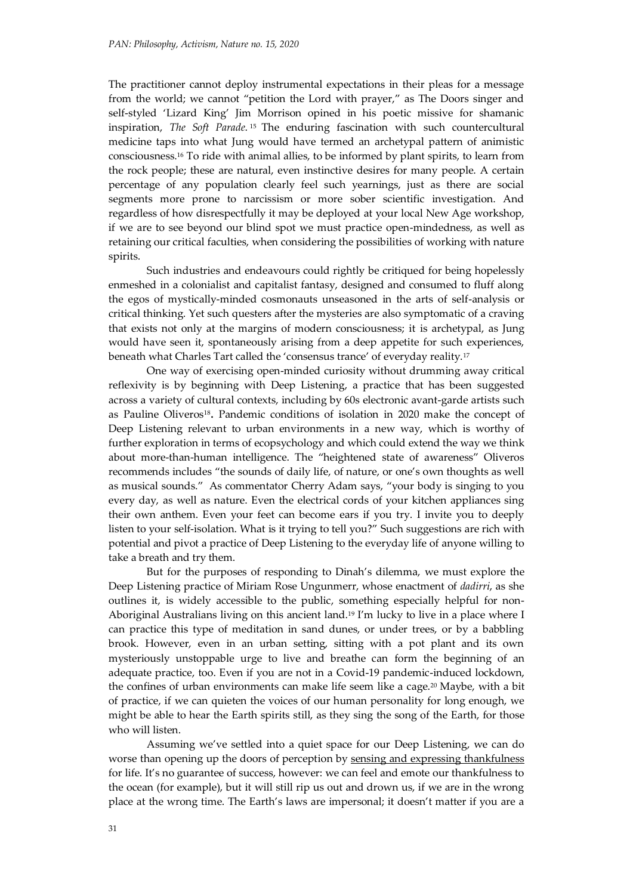The practitioner cannot deploy instrumental expectations in their pleas for a message from the world; we cannot "petition the Lord with prayer," as The Doors singer and self-styled 'Lizard King' Jim Morrison opined in his poetic missive for shamanic inspiration, *The Soft Parade*. <sup>15</sup> The enduring fascination with such countercultural medicine taps into what Jung would have termed an archetypal pattern of animistic consciousness.<sup>16</sup> To ride with animal allies, to be informed by plant spirits, to learn from the rock people; these are natural, even instinctive desires for many people. A certain percentage of any population clearly feel such yearnings, just as there are social segments more prone to narcissism or more sober scientific investigation. And regardless of how disrespectfully it may be deployed at your local New Age workshop, if we are to see beyond our blind spot we must practice open-mindedness, as well as retaining our critical faculties, when considering the possibilities of working with nature spirits.

Such industries and endeavours could rightly be critiqued for being hopelessly enmeshed in a colonialist and capitalist fantasy, designed and consumed to fluff along the egos of mystically-minded cosmonauts unseasoned in the arts of self-analysis or critical thinking. Yet such questers after the mysteries are also symptomatic of a craving that exists not only at the margins of modern consciousness; it is archetypal, as Jung would have seen it, spontaneously arising from a deep appetite for such experiences, beneath what Charles Tart called the 'consensus trance' of everyday reality.<sup>17</sup>

One way of exercising open-minded curiosity without drumming away critical reflexivity is by beginning with Deep Listening, a practice that has been suggested across a variety of cultural contexts, including by 60s electronic avant-garde artists such as Pauline Oliveros<sup>18</sup> **.** Pandemic conditions of isolation in 2020 make the concept of Deep Listening relevant to urban environments in a new way, which is worthy of further exploration in terms of ecopsychology and which could extend the way we think about more-than-human intelligence. The "heightened state of awareness" Oliveros recommends includes "the sounds of daily life, of nature, or one's own thoughts as well as musical sounds." As commentator Cherry Adam says, "your body is singing to you every day, as well as nature. Even the electrical cords of your kitchen appliances sing their own anthem. Even your feet can become ears if you try. I invite you to deeply listen to your self-isolation. What is it trying to tell you?" Such suggestions are rich with potential and pivot a practice of Deep Listening to the everyday life of anyone willing to take a breath and try them.

But for the purposes of responding to Dinah's dilemma, we must explore the Deep Listening practice of Miriam Rose Ungunmerr, whose enactment of *dadirri*, as she outlines it, is widely accessible to the public, something especially helpful for non-Aboriginal Australians living on this ancient land.<sup>19</sup> I'm lucky to live in a place where I can practice this type of meditation in sand dunes, or under trees, or by a babbling brook. However, even in an urban setting, sitting with a pot plant and its own mysteriously unstoppable urge to live and breathe can form the beginning of an adequate practice, too. Even if you are not in a Covid-19 pandemic-induced lockdown, the confines of urban environments can make life seem like a cage.<sup>20</sup> Maybe, with a bit of practice, if we can quieten the voices of our human personality for long enough, we might be able to hear the Earth spirits still, as they sing the song of the Earth, for those who will listen.

Assuming we've settled into a quiet space for our Deep Listening, we can do worse than opening up the doors of perception by sensing and expressing thankfulness for life. It's no guarantee of success, however: we can feel and emote our thankfulness to the ocean (for example), but it will still rip us out and drown us, if we are in the wrong place at the wrong time. The Earth's laws are impersonal; it doesn't matter if you are a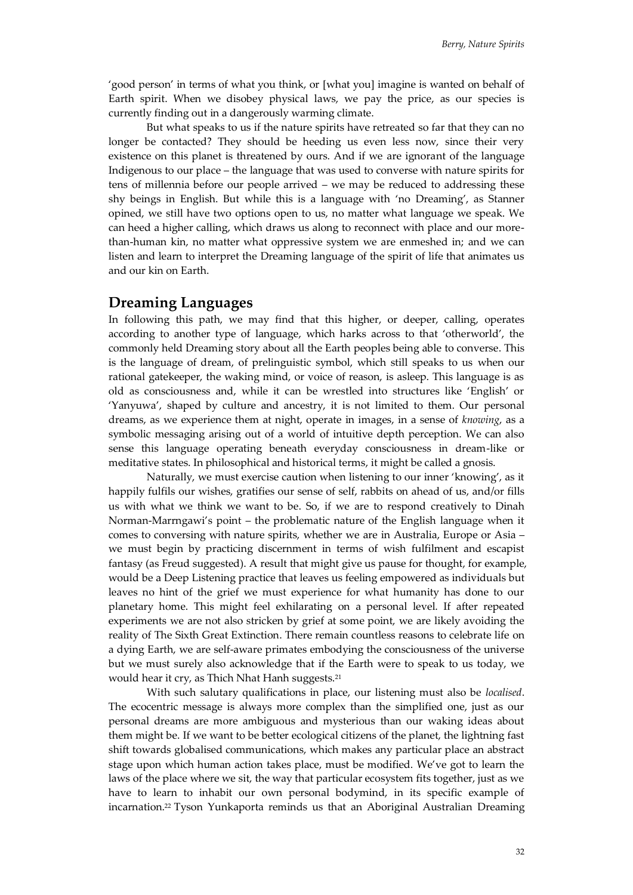'good person' in terms of what you think, or [what you] imagine is wanted on behalf of Earth spirit. When we disobey physical laws, we pay the price, as our species is currently finding out in a dangerously warming climate.

But what speaks to us if the nature spirits have retreated so far that they can no longer be contacted? They should be heeding us even less now, since their very existence on this planet is threatened by ours. And if we are ignorant of the language Indigenous to our place – the language that was used to converse with nature spirits for tens of millennia before our people arrived – we may be reduced to addressing these shy beings in English. But while this is a language with 'no Dreaming', as Stanner opined, we still have two options open to us, no matter what language we speak. We can heed a higher calling, which draws us along to reconnect with place and our morethan-human kin, no matter what oppressive system we are enmeshed in; and we can listen and learn to interpret the Dreaming language of the spirit of life that animates us and our kin on Earth.

## **Dreaming Languages**

In following this path, we may find that this higher, or deeper, calling, operates according to another type of language, which harks across to that 'otherworld', the commonly held Dreaming story about all the Earth peoples being able to converse. This is the language of dream, of prelinguistic symbol, which still speaks to us when our rational gatekeeper, the waking mind, or voice of reason, is asleep. This language is as old as consciousness and, while it can be wrestled into structures like 'English' or 'Yanyuwa', shaped by culture and ancestry, it is not limited to them. Our personal dreams, as we experience them at night, operate in images, in a sense of *knowing*, as a symbolic messaging arising out of a world of intuitive depth perception. We can also sense this language operating beneath everyday consciousness in dream-like or meditative states. In philosophical and historical terms, it might be called a gnosis.

Naturally, we must exercise caution when listening to our inner 'knowing', as it happily fulfils our wishes, gratifies our sense of self, rabbits on ahead of us, and/or fills us with what we think we want to be. So, if we are to respond creatively to Dinah Norman-Marrngawi's point – the problematic nature of the English language when it comes to conversing with nature spirits, whether we are in Australia, Europe or Asia – we must begin by practicing discernment in terms of wish fulfilment and escapist fantasy (as Freud suggested). A result that might give us pause for thought, for example, would be a Deep Listening practice that leaves us feeling empowered as individuals but leaves no hint of the grief we must experience for what humanity has done to our planetary home. This might feel exhilarating on a personal level. If after repeated experiments we are not also stricken by grief at some point, we are likely avoiding the reality of The Sixth Great Extinction. There remain countless reasons to celebrate life on a dying Earth, we are self-aware primates embodying the consciousness of the universe but we must surely also acknowledge that if the Earth were to speak to us today, we would hear it cry, as Thich Nhat Hanh suggests.<sup>21</sup>

With such salutary qualifications in place, our listening must also be *localised*. The ecocentric message is always more complex than the simplified one, just as our personal dreams are more ambiguous and mysterious than our waking ideas about them might be. If we want to be better ecological citizens of the planet, the lightning fast shift towards globalised communications, which makes any particular place an abstract stage upon which human action takes place, must be modified. We've got to learn the laws of the place where we sit, the way that particular ecosystem fits together, just as we have to learn to inhabit our own personal bodymind, in its specific example of incarnation.<sup>22</sup> Tyson Yunkaporta reminds us that an Aboriginal Australian Dreaming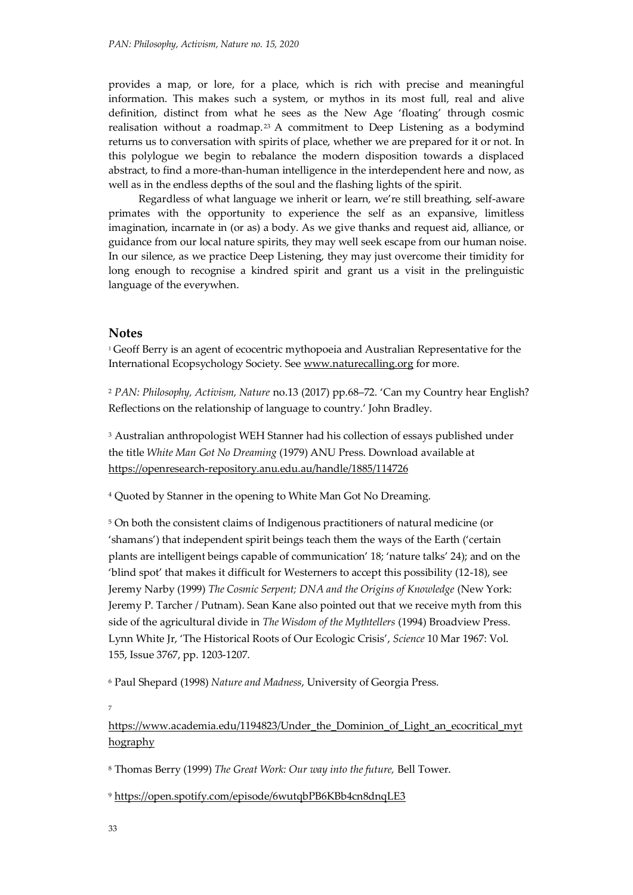provides a map, or lore, for a place, which is rich with precise and meaningful information. This makes such a system, or mythos in its most full, real and alive definition, distinct from what he sees as the New Age 'floating' through cosmic realisation without a roadmap.<sup>23</sup> A commitment to Deep Listening as a bodymind returns us to conversation with spirits of place, whether we are prepared for it or not. In this polylogue we begin to rebalance the modern disposition towards a displaced abstract, to find a more-than-human intelligence in the interdependent here and now, as well as in the endless depths of the soul and the flashing lights of the spirit.

Regardless of what language we inherit or learn, we're still breathing, self-aware primates with the opportunity to experience the self as an expansive, limitless imagination, incarnate in (or as) a body. As we give thanks and request aid, alliance, or guidance from our local nature spirits, they may well seek escape from our human noise. In our silence, as we practice Deep Listening, they may just overcome their timidity for long enough to recognise a kindred spirit and grant us a visit in the prelinguistic language of the everywhen.

#### **Notes**

<sup>1</sup> Geoff Berry is an agent of ecocentric mythopoeia and Australian Representative for the International Ecopsychology Society. Se[e www.naturecalling.org](http://www.naturecalling.org/) for more.

<sup>2</sup> *PAN: Philosophy, Activism, Nature* no.13 (2017) pp.68–72. 'Can my Country hear English? Reflections on the relationship of language to country.' John Bradley.

<sup>3</sup> Australian anthropologist WEH Stanner had his collection of essays published under the title *White Man Got No Dreaming* (1979) ANU Press. Download available at <https://openresearch-repository.anu.edu.au/handle/1885/114726>

<sup>4</sup> Quoted by Stanner in the opening to White Man Got No Dreaming.

<sup>5</sup> On both the consistent claims of Indigenous practitioners of natural medicine (or 'shamans') that independent spirit beings teach them the ways of the Earth ('certain plants are intelligent beings capable of communication' 18; 'nature talks' 24); and on the 'blind spot' that makes it difficult for Westerners to accept this possibility (12-18), see Jeremy Narby (1999) *The Cosmic Serpent; DNA and the Origins of Knowledge* (New York: Jeremy P. Tarcher / Putnam). Sean Kane also pointed out that we receive myth from this side of the agricultural divide in *The Wisdom of the Mythtellers* (1994) Broadview Press. Lynn White Jr, 'The Historical Roots of Our Ecologic Crisis', *Science* 10 Mar 1967: Vol. 155, Issue 3767, pp. 1203-1207.

<sup>6</sup> Paul Shepard (1998) *Nature and Madness*, University of Georgia Press.

7

https://www.academia.edu/1194823/Under the Dominion of Light an ecocritical myt [hography](https://www.academia.edu/1194823/Under_the_Dominion_of_Light_an_ecocritical_mythography)

<sup>8</sup> Thomas Berry (1999) *The Great Work: Our way into the future,* Bell Tower.

<sup>9</sup> <https://open.spotify.com/episode/6wutqbPB6KBb4cn8dnqLE3>